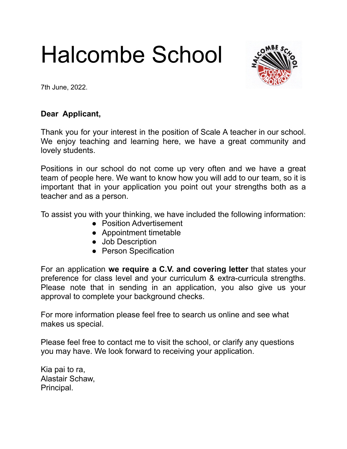# Halcombe School



7th June, 2022.

# **Dear Applicant,**

Thank you for your interest in the position of Scale A teacher in our school. We enjoy teaching and learning here, we have a great community and lovely students.

Positions in our school do not come up very often and we have a great team of people here. We want to know how you will add to our team, so it is important that in your application you point out your strengths both as a teacher and as a person.

To assist you with your thinking, we have included the following information:

- Position Advertisement
- Appointment timetable
- Job Description
- Person Specification

For an application **we require a C.V. and covering letter** that states your preference for class level and your curriculum & extra-curricula strengths. Please note that in sending in an application, you also give us your approval to complete your background checks.

For more information please feel free to search us online and see what makes us special.

Please feel free to contact me to visit the school, or clarify any questions you may have. We look forward to receiving your application.

Kia pai to ra, Alastair Schaw, Principal.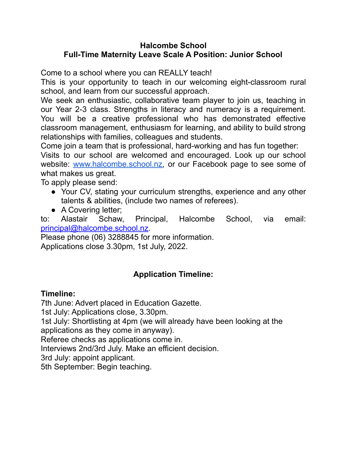# **Halcombe School Full-Time Maternity Leave Scale A Position: Junior School**

Come to a school where you can REALLY teach!

This is your opportunity to teach in our welcoming eight-classroom rural school, and learn from our successful approach.

We seek an enthusiastic, collaborative team player to join us, teaching in our Year 2-3 class. Strengths in literacy and numeracy is a requirement. You will be a creative professional who has demonstrated effective classroom management, enthusiasm for learning, and ability to build strong relationships with families, colleagues and students.

Come join a team that is professional, hard-working and has fun together:

Visits to our school are welcomed and encouraged. Look up our school website: [www.halcombe.school.nz,](http://www.halcombe.school.nz) or our Facebook page to see some of what makes us great.

To apply please send:

- Your CV, stating your curriculum strengths, experience and any other talents & abilities, (include two names of referees).
- A Covering letter;

to: Alastair Schaw, Principal, Halcombe School, via email: [principal@halcombe.school.nz.](mailto:principal@halcombe.school.nz)

Please phone (06) 3288845 for more information.

Applications close 3.30pm, 1st July, 2022.

# **Application Timeline:**

# **Timeline:**

7th June: Advert placed in Education Gazette.

1st July: Applications close, 3.30pm.

1st July: Shortlisting at 4pm (we will already have been looking at the

applications as they come in anyway).

Referee checks as applications come in.

Interviews 2nd/3rd July. Make an efficient decision.

3rd July: appoint applicant.

5th September: Begin teaching.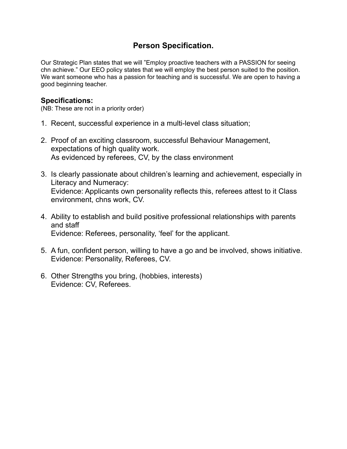# **Person Specification.**

Our Strategic Plan states that we will "Employ proactive teachers with a PASSION for seeing chn achieve." Our EEO policy states that we will employ the best person suited to the position. We want someone who has a passion for teaching and is successful. We are open to having a good beginning teacher.

## **Specifications:**

(NB: These are not in a priority order)

- 1. Recent, successful experience in a multi-level class situation;
- 2. Proof of an exciting classroom, successful Behaviour Management, expectations of high quality work. As evidenced by referees, CV, by the class environment
- 3. Is clearly passionate about children's learning and achievement, especially in Literacy and Numeracy: Evidence: Applicants own personality reflects this, referees attest to it Class environment, chns work, CV.
- 4. Ability to establish and build positive professional relationships with parents and staff Evidence: Referees, personality, 'feel' for the applicant.
- 5. A fun, confident person, willing to have a go and be involved, shows initiative. Evidence: Personality, Referees, CV.
- 6. Other Strengths you bring, (hobbies, interests) Evidence: CV, Referees.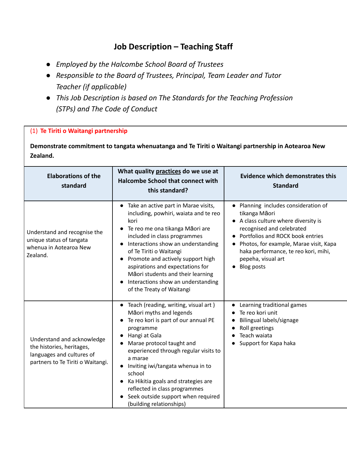# **Job Description – Teaching Staff**

- *● Employed by the Halcombe School Board of Trustees*
- *● Responsible to the Board of Trustees, Principal, Team Leader and Tutor Teacher (if applicable)*
- *● This Job Description is based on The Standards for the Teaching Profession (STPs) and The Code of Conduct*

#### (1) **Te Tiriti o Waitangi partnership**

**Demonstrate commitment to tangata whenuatanga and Te Tiriti o Waitangi partnership in Aotearoa New Zealand.**

| <b>Elaborations of the</b><br>standard                                                                                    | What quality practices do we use at<br><b>Halcombe School that connect with</b><br>this standard?                                                                                                                                                                                                                                                                                                                                    | <b>Evidence which demonstrates this</b><br><b>Standard</b>                                                                                                                                                                                                                                |
|---------------------------------------------------------------------------------------------------------------------------|--------------------------------------------------------------------------------------------------------------------------------------------------------------------------------------------------------------------------------------------------------------------------------------------------------------------------------------------------------------------------------------------------------------------------------------|-------------------------------------------------------------------------------------------------------------------------------------------------------------------------------------------------------------------------------------------------------------------------------------------|
| Understand and recognise the<br>unique status of tangata<br>whenua in Aotearoa New<br>Zealand.                            | Take an active part in Marae visits,<br>$\bullet$<br>including, powhiri, waiata and te reo<br>kori<br>Te reo me ona tikanga Māori are<br>included in class programmes<br>Interactions show an understanding<br>of Te Tiriti o Waitangi<br>Promote and actively support high<br>$\bullet$<br>aspirations and expectations for<br>Māori students and their learning<br>Interactions show an understanding<br>of the Treaty of Waitangi | Planning includes consideration of<br>tikanga Māori<br>• A class culture where diversity is<br>recognised and celebrated<br>Portfolios and ROCK book entries<br>Photos, for example, Marae visit, Kapa<br>haka performance, te reo kori, mihi,<br>pepeha, visual art<br><b>Blog posts</b> |
| Understand and acknowledge<br>the histories, heritages,<br>languages and cultures of<br>partners to Te Tiriti o Waitangi. | Teach (reading, writing, visual art)<br>Māori myths and legends<br>Te reo kori is part of our annual PE<br>programme<br>Hangi at Gala<br>Marae protocol taught and<br>experienced through regular visits to<br>a marae<br>Inviting iwi/tangata whenua in to<br>school<br>Ka Hikitia goals and strategies are<br>reflected in class programmes<br>Seek outside support when required<br>(building relationships)                      | Learning traditional games<br>Te reo kori unit<br>Bilingual labels/signage<br>Roll greetings<br>Teach waiata<br>Support for Kapa haka                                                                                                                                                     |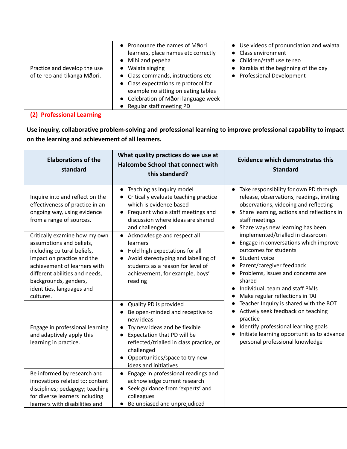| Practice and develop the use<br>of te reo and tikanga Māori. | • Pronounce the names of Māori<br>learners, place names etc correctly<br>Mihi and pepeha<br>$\bullet$<br>Waiata singing<br>• Class commands, instructions etc<br>• Class expectations re protocol for<br>example no sitting on eating tables<br>• Celebration of Māori language week<br>Regular staff meeting PD | • Use videos of pronunciation and waiata<br>• Class environment<br>• Children/staff use te reo<br>Karakia at the beginning of the day<br><b>Professional Development</b> |
|--------------------------------------------------------------|------------------------------------------------------------------------------------------------------------------------------------------------------------------------------------------------------------------------------------------------------------------------------------------------------------------|--------------------------------------------------------------------------------------------------------------------------------------------------------------------------|
|--------------------------------------------------------------|------------------------------------------------------------------------------------------------------------------------------------------------------------------------------------------------------------------------------------------------------------------------------------------------------------------|--------------------------------------------------------------------------------------------------------------------------------------------------------------------------|

## **(2) Professional Learning**

**Use inquiry, collaborative problem-solving and professional learning to improve professional capability to impact on the learning and achievement of all learners.**

| <b>Elaborations of the</b><br>standard                                                                                                                                                                                                                      | What quality practices do we use at<br><b>Halcombe School that connect with</b><br>this standard?                                                                                                                                                                                                  | <b>Evidence which demonstrates this</b><br><b>Standard</b>                                                                                                                                                                                                                                                                                           |
|-------------------------------------------------------------------------------------------------------------------------------------------------------------------------------------------------------------------------------------------------------------|----------------------------------------------------------------------------------------------------------------------------------------------------------------------------------------------------------------------------------------------------------------------------------------------------|------------------------------------------------------------------------------------------------------------------------------------------------------------------------------------------------------------------------------------------------------------------------------------------------------------------------------------------------------|
| Inquire into and reflect on the<br>effectiveness of practice in an<br>ongoing way, using evidence<br>from a range of sources.                                                                                                                               | Teaching as Inquiry model<br>$\bullet$<br>Critically evaluate teaching practice<br>$\bullet$<br>which is evidence based<br>Frequent whole staff meetings and<br>$\bullet$<br>discussion where ideas are shared<br>and challenged                                                                   | • Take responsibility for own PD through<br>release, observations, readings, inviting<br>observations, videoing and reflecting<br>Share learning, actions and reflections in<br>staff meetings<br>Share ways new learning has been<br>$\bullet$                                                                                                      |
| Critically examine how my own<br>assumptions and beliefs,<br>including cultural beliefs,<br>impact on practice and the<br>achievement of learners with<br>different abilities and needs,<br>backgrounds, genders,<br>identities, languages and<br>cultures. | Acknowledge and respect all<br>$\bullet$<br>learners<br>Hold high expectations for all<br>$\bullet$<br>Avoid stereotyping and labelling of<br>$\bullet$<br>students as a reason for level of<br>achievement, for example, boys'<br>reading                                                         | implemented/trialled in classroom<br>Engage in conversations which improve<br>$\bullet$<br>outcomes for students<br>Student voice<br>$\bullet$<br>Parent/caregiver feedback<br>$\bullet$<br>Problems, issues and concerns are<br>$\bullet$<br>shared<br>Individual, team and staff PMIs<br>$\bullet$<br>Make regular reflections in TAI<br>$\bullet$ |
| Engage in professional learning<br>and adaptively apply this<br>learning in practice.                                                                                                                                                                       | Quality PD is provided<br>$\bullet$<br>Be open-minded and receptive to<br>new ideas<br>Try new ideas and be flexible<br>$\bullet$<br>Expectation that PD will be<br>$\bullet$<br>reflected/trialled in class practice, or<br>challenged<br>Opportunities/space to try new<br>ideas and initiatives | Teacher Inquiry is shared with the BOT<br>$\bullet$<br>Actively seek feedback on teaching<br>practice<br>Identify professional learning goals<br>$\bullet$<br>Initiate learning opportunities to advance<br>$\bullet$<br>personal professional knowledge                                                                                             |
| Be informed by research and<br>innovations related to: content<br>disciplines; pedagogy; teaching<br>for diverse learners including<br>learners with disabilities and                                                                                       | Engage in professional readings and<br>$\bullet$<br>acknowledge current research<br>Seek guidance from 'experts' and<br>$\bullet$<br>colleagues<br>• Be unbiased and unprejudiced                                                                                                                  |                                                                                                                                                                                                                                                                                                                                                      |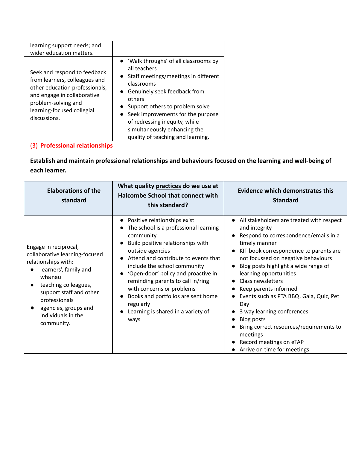# **Establish and maintain professional relationships and behaviours focused on the learning and well-being of each learner.**

| <b>Elaborations of the</b><br>standard                                                                                                                                                                                                            | What quality practices do we use at<br><b>Halcombe School that connect with</b><br>this standard?                                                                                                                                                                                                                                                                                                                                                                                              | Evidence which demonstrates this<br><b>Standard</b>                                                                                                                                                                                                                                                                                                                                                                                                                                                                                           |
|---------------------------------------------------------------------------------------------------------------------------------------------------------------------------------------------------------------------------------------------------|------------------------------------------------------------------------------------------------------------------------------------------------------------------------------------------------------------------------------------------------------------------------------------------------------------------------------------------------------------------------------------------------------------------------------------------------------------------------------------------------|-----------------------------------------------------------------------------------------------------------------------------------------------------------------------------------------------------------------------------------------------------------------------------------------------------------------------------------------------------------------------------------------------------------------------------------------------------------------------------------------------------------------------------------------------|
| Engage in reciprocal,<br>collaborative learning-focused<br>relationships with:<br>learners', family and<br>whānau<br>teaching colleagues,<br>support staff and other<br>professionals<br>agencies, groups and<br>individuals in the<br>community. | Positive relationships exist<br>$\bullet$<br>The school is a professional learning<br>community<br>Build positive relationships with<br>$\bullet$<br>outside agencies<br>Attend and contribute to events that<br>$\bullet$<br>include the school community<br>'Open-door' policy and proactive in<br>$\bullet$<br>reminding parents to call in/ring<br>with concerns or problems<br>Books and portfolios are sent home<br>regularly<br>Learning is shared in a variety of<br>$\bullet$<br>ways | • All stakeholders are treated with respect<br>and integrity<br>Respond to correspondence/emails in a<br>timely manner<br>KIT book correspondence to parents are<br>not focussed on negative behaviours<br>Blog posts highlight a wide range of<br>learning opportunities<br><b>Class newsletters</b><br>Keep parents informed<br>Events such as PTA BBQ, Gala, Quiz, Pet<br>Day<br>3 way learning conferences<br>Blog posts<br>Bring correct resources/requirements to<br>meetings<br>Record meetings on eTAP<br>Arrive on time for meetings |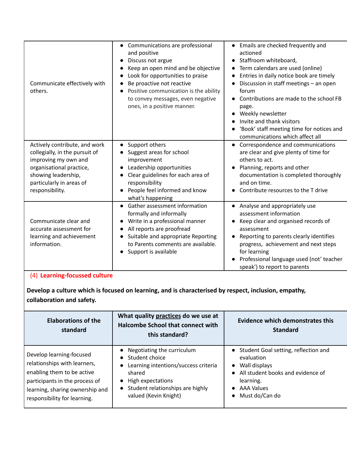| Communicate effectively with<br>others.                                                                                                                                                   | Communications are professional<br>and positive<br>Discuss not argue<br>$\bullet$<br>Keep an open mind and be objective<br>Look for opportunities to praise<br>Be proactive not reactive<br>Positive communication is the ability<br>to convey messages, even negative<br>ones, in a positive manner. | Emails are checked frequently and<br>actioned<br>Staffroom whiteboard,<br>$\bullet$<br>Term calendars are used (online)<br>Entries in daily notice book are timely<br>Discussion in staff meetings - an open<br>forum<br>Contributions are made to the school FB<br>page.<br>Weekly newsletter<br>Invite and thank visitors<br>'Book' staff meeting time for notices and<br>communications which affect all |
|-------------------------------------------------------------------------------------------------------------------------------------------------------------------------------------------|-------------------------------------------------------------------------------------------------------------------------------------------------------------------------------------------------------------------------------------------------------------------------------------------------------|-------------------------------------------------------------------------------------------------------------------------------------------------------------------------------------------------------------------------------------------------------------------------------------------------------------------------------------------------------------------------------------------------------------|
| Actively contribute, and work<br>collegially, in the pursuit of<br>improving my own and<br>organisational practice,<br>showing leadership,<br>particularly in areas of<br>responsibility. | Support others<br>Suggest areas for school<br>improvement<br>Leadership opportunities<br>Clear guidelines for each area of<br>responsibility<br>People feel informed and know<br>what's happening                                                                                                     | Correspondence and communications<br>are clear and give plenty of time for<br>others to act.<br>Planning, reports and other<br>documentation is completed thoroughly<br>and on time.<br>Contribute resources to the T drive                                                                                                                                                                                 |
| Communicate clear and<br>accurate assessment for<br>learning and achievement<br>information.                                                                                              | Gather assessment information<br>$\bullet$<br>formally and informally<br>Write in a professional manner<br>$\bullet$<br>All reports are proofread<br>Suitable and appropriate Reporting<br>to Parents comments are available.<br>Support is available                                                 | • Analyse and appropriately use<br>assessment information<br>Keep clear and organised records of<br>assessment<br>Reporting to parents clearly identifies<br>progress, achievement and next steps<br>for learning<br>Professional language used (not' teacher<br>speak') to report to parents                                                                                                               |

# (4) **Learning-focussed culture**

**Develop a culture which is focused on learning, and is characterised by respect, inclusion, empathy, collaboration and safety.**

| <b>Elaborations of the</b><br>standard                                                                                                                                                      | What quality practices do we use at<br><b>Halcombe School that connect with</b><br>this standard?                                                                                                                       | <b>Evidence which demonstrates this</b><br><b>Standard</b>                                                                                                                             |
|---------------------------------------------------------------------------------------------------------------------------------------------------------------------------------------------|-------------------------------------------------------------------------------------------------------------------------------------------------------------------------------------------------------------------------|----------------------------------------------------------------------------------------------------------------------------------------------------------------------------------------|
| Develop learning-focused<br>relationships with learners,<br>enabling them to be active<br>participants in the process of<br>learning, sharing ownership and<br>responsibility for learning. | Negotiating the curriculum<br>Student choice<br>$\bullet$<br>Learning intentions/success criteria<br>$\bullet$<br>shared<br>High expectations<br>Student relationships are highly<br>$\bullet$<br>valued (Kevin Knight) | Student Goal setting, reflection and<br>$\bullet$<br>evaluation<br>Wall displays<br>$\bullet$<br>All student books and evidence of<br>learning.<br><b>AAA Values</b><br>Must do/Can do |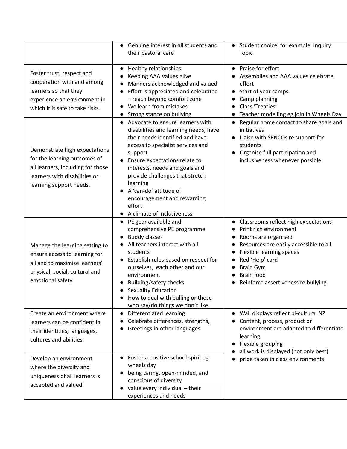|                                                                                                                                                                | Genuine interest in all students and<br>their pastoral care                                                                                                                                                                                                                                                                                                                                  | • Student choice, for example, Inquiry<br><b>Topic</b>                                                                                                                                                                                                                                                                          |
|----------------------------------------------------------------------------------------------------------------------------------------------------------------|----------------------------------------------------------------------------------------------------------------------------------------------------------------------------------------------------------------------------------------------------------------------------------------------------------------------------------------------------------------------------------------------|---------------------------------------------------------------------------------------------------------------------------------------------------------------------------------------------------------------------------------------------------------------------------------------------------------------------------------|
| Foster trust, respect and<br>cooperation with and among<br>learners so that they<br>experience an environment in<br>which it is safe to take risks.            | Healthy relationships<br>$\bullet$<br>Keeping AAA Values alive<br>$\bullet$<br>Manners acknowledged and valued<br>Effort is appreciated and celebrated<br>- reach beyond comfort zone<br>We learn from mistakes<br>Strong stance on bullying                                                                                                                                                 | • Praise for effort<br>Assemblies and AAA values celebrate<br>effort<br>Start of year camps<br>Camp planning<br>Class 'Treaties'<br>$\bullet$<br>Teacher modelling eg join in Wheels Day                                                                                                                                        |
| Demonstrate high expectations<br>for the learning outcomes of<br>all learners, including for those<br>learners with disabilities or<br>learning support needs. | Advocate to ensure learners with<br>$\bullet$<br>disabilities and learning needs, have<br>their needs identified and have<br>access to specialist services and<br>support<br>Ensure expectations relate to<br>interests, needs and goals and<br>provide challenges that stretch<br>learning<br>A 'can-do' attitude of<br>encouragement and rewarding<br>effort<br>A climate of inclusiveness | Regular home contact to share goals and<br>initiatives<br>Liaise with SENCOs re support for<br>students<br>Organise full participation and<br>$\bullet$<br>inclusiveness whenever possible                                                                                                                                      |
| Manage the learning setting to<br>ensure access to learning for<br>all and to maximise learners'<br>physical, social, cultural and<br>emotional safety.        | • PE gear available and<br>comprehensive PE programme<br><b>Buddy classes</b><br>All teachers interact with all<br>students<br>Establish rules based on respect for<br>ourselves, each other and our<br>environment<br><b>Building/safety checks</b><br>Sexuality Education<br>How to deal with bulling or those<br>who say/do things we don't like.                                         | Classrooms reflect high expectations<br>$\bullet$<br>Print rich environment<br>$\bullet$<br>Rooms are organised<br>$\bullet$<br>Resources are easily accessible to all<br>Flexible learning spaces<br>$\bullet$<br>Red 'Help' card<br>$\bullet$<br><b>Brain Gym</b><br><b>Brain food</b><br>Reinforce assertiveness re bullying |
| Create an environment where<br>learners can be confident in<br>their identities, languages,<br>cultures and abilities.                                         | Differentiated learning<br>$\bullet$<br>Celebrate differences, strengths,<br>Greetings in other languages                                                                                                                                                                                                                                                                                    | Wall displays reflect bi-cultural NZ<br>Content, process, product or<br>environment are adapted to differentiate<br>learning<br>Flexible grouping<br>all work is displayed (not only best)                                                                                                                                      |
| Develop an environment<br>where the diversity and<br>uniqueness of all learners is<br>accepted and valued.                                                     | Foster a positive school spirit eg<br>wheels day<br>being caring, open-minded, and<br>conscious of diversity.<br>value every individual - their<br>experiences and needs                                                                                                                                                                                                                     | pride taken in class environments                                                                                                                                                                                                                                                                                               |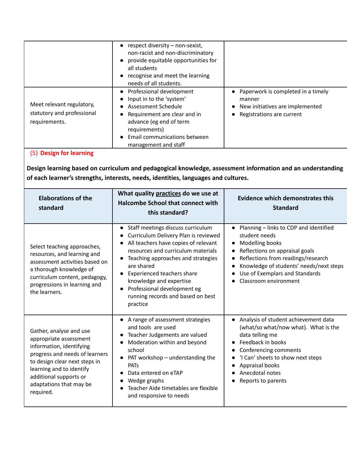|                                                                          | $\bullet$ respect diversity – non-sexist,<br>non-racist and non-discriminatory<br>provide equitable opportunities for<br>$\bullet$<br>all students<br>recognise and meet the learning<br>$\bullet$<br>needs of all students.                       |                                                                                                                           |
|--------------------------------------------------------------------------|----------------------------------------------------------------------------------------------------------------------------------------------------------------------------------------------------------------------------------------------------|---------------------------------------------------------------------------------------------------------------------------|
| Meet relevant regulatory,<br>statutory and professional<br>requirements. | • Professional development<br>Input in to the 'system'<br><b>Assessment Schedule</b><br>$\bullet$<br>Requirement are clear and in<br>$\bullet$<br>advance (eg end of term<br>requirements)<br>Email communications between<br>management and staff | Paperwork is completed in a timely<br>manner<br>New initiatives are implemented<br>$\bullet$<br>Registrations are current |

(5) **Design for learning**

**Design learning based on curriculum and pedagogical knowledge, assessment information and an understanding of each learner's strengths, interests, needs, identities, languages and cultures.**

| <b>Elaborations of the</b><br>standard                                                                                                                                                                                                         | What quality practices do we use at<br><b>Halcombe School that connect with</b><br>this standard?                                                                                                                                                                                                                                                                                                        | Evidence which demonstrates this<br><b>Standard</b>                                                                                                                                                                                                                   |
|------------------------------------------------------------------------------------------------------------------------------------------------------------------------------------------------------------------------------------------------|----------------------------------------------------------------------------------------------------------------------------------------------------------------------------------------------------------------------------------------------------------------------------------------------------------------------------------------------------------------------------------------------------------|-----------------------------------------------------------------------------------------------------------------------------------------------------------------------------------------------------------------------------------------------------------------------|
| Select teaching approaches,<br>resources, and learning and<br>assessment activities based on<br>a thorough knowledge of<br>curriculum content, pedagogy,<br>progressions in learning and<br>the learners.                                      | Staff meetings discuss curriculum<br>$\bullet$<br>Curriculum Delivery Plan is reviewed<br>All teachers have copies of relevant<br>resources and curriculum materials<br>Teaching approaches and strategies<br>$\bullet$<br>are shared<br>Experienced teachers share<br>$\bullet$<br>knowledge and expertise<br>Professional development eg<br>$\bullet$<br>running records and based on best<br>practice | Planning - links to CDP and identified<br>student needs<br>Modelling books<br>$\bullet$<br>Reflections on appraisal goals<br>Reflections from readings/research<br>Knowledge of students' needs/next steps<br>Use of Exemplars and Standards<br>Classroom environment |
| Gather, analyse and use<br>appropriate assessment<br>information, identifying<br>progress and needs of learners<br>to design clear next steps in<br>learning and to identify<br>additional supports or<br>adaptations that may be<br>required. | A range of assessment strategies<br>$\bullet$<br>and tools are used<br>Teacher Judgements are valued<br>$\bullet$<br>Moderation within and beyond<br>school<br>PAT workshop - understanding the<br>$\bullet$<br><b>PATs</b><br>Data entered on eTAP<br>Wedge graphs<br>Teacher Aide timetables are flexible<br>and responsive to needs                                                                   | Analysis of student achievement data<br>(what/so what/now what). What is the<br>data telling me<br>Feedback in books<br>Conferencing comments<br>'I Can' sheets to show next steps<br>Appraisal books<br>Anecdotal notes<br>Reports to parents                        |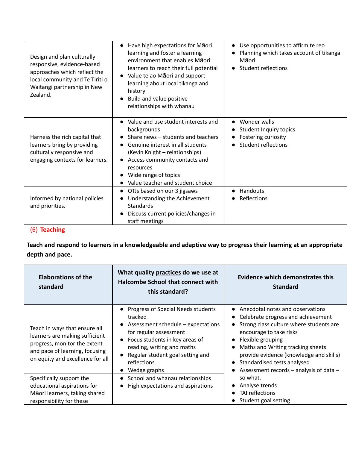| Design and plan culturally<br>responsive, evidence-based<br>approaches which reflect the<br>local community and Te Tiriti o<br>Waitangi partnership in New<br>Zealand. | Have high expectations for Maori<br>$\bullet$<br>learning and foster a learning<br>environment that enables Maori<br>learners to reach their full potential<br>Value te ao Māori and support<br>learning about local tikanga and<br>history<br>Build and value positive<br>relationships with whanau | Use opportunities to affirm te reo<br>$\bullet$<br>Planning which takes account of tikanga<br>Māori<br><b>Student reflections</b><br>$\bullet$ |
|------------------------------------------------------------------------------------------------------------------------------------------------------------------------|------------------------------------------------------------------------------------------------------------------------------------------------------------------------------------------------------------------------------------------------------------------------------------------------------|------------------------------------------------------------------------------------------------------------------------------------------------|
| Harness the rich capital that<br>learners bring by providing<br>culturally responsive and<br>engaging contexts for learners.                                           | Value and use student interests and<br>$\bullet$<br>backgrounds<br>Share news – students and teachers<br>Genuine interest in all students<br>(Kevin Knight - relationships)<br>Access community contacts and<br>resources<br>Wide range of topics<br>Value teacher and student choice                | Wonder walls<br>$\bullet$<br>Student Inquiry topics<br>$\bullet$<br>Fostering curiosity<br>$\bullet$<br><b>Student reflections</b>             |
| Informed by national policies<br>and priorities.                                                                                                                       | OTJs based on our 3 jigsaws<br>$\bullet$<br>Understanding the Achievement<br><b>Standards</b><br>Discuss current policies/changes in<br>$\bullet$<br>staff meetings                                                                                                                                  | Handouts<br>$\bullet$<br>Reflections                                                                                                           |

## (6) **Teaching**

**Teach and respond to learners in a knowledgeable and adaptive way to progress their learning at an appropriate depth and pace.**

| <b>Elaborations of the</b><br>standard                                                                                                                                | What quality practices do we use at<br><b>Halcombe School that connect with</b><br>this standard?                                                                                                                                                                                       | <b>Evidence which demonstrates this</b><br><b>Standard</b>                                                                                                                                                                                                                                                                                                                                   |
|-----------------------------------------------------------------------------------------------------------------------------------------------------------------------|-----------------------------------------------------------------------------------------------------------------------------------------------------------------------------------------------------------------------------------------------------------------------------------------|----------------------------------------------------------------------------------------------------------------------------------------------------------------------------------------------------------------------------------------------------------------------------------------------------------------------------------------------------------------------------------------------|
| Teach in ways that ensure all<br>learners are making sufficient<br>progress, monitor the extent<br>and pace of learning, focusing<br>on equity and excellence for all | Progress of Special Needs students<br>$\bullet$<br>tracked<br>Assessment schedule – expectations<br>for regular assessment<br>Focus students in key areas of<br>$\bullet$<br>reading, writing and maths<br>Regular student goal setting and<br>reflections<br>Wedge graphs<br>$\bullet$ | Anecdotal notes and observations<br>$\bullet$<br>Celebrate progress and achievement<br>$\bullet$<br>Strong class culture where students are<br>encourage to take risks<br>Flexible grouping<br>$\bullet$<br>Maths and Writing tracking sheets<br>$\bullet$<br>provide evidence (knowledge and skills)<br>Standardised tests analysed<br>$\bullet$<br>Assessment records - analysis of data - |
| Specifically support the<br>educational aspirations for<br>Māori learners, taking shared<br>responsibility for these                                                  | School and whanau relationships<br>$\bullet$<br>High expectations and aspirations<br>$\bullet$                                                                                                                                                                                          | so what.<br>Analyse trends<br>TAI reflections<br>$\bullet$<br>Student goal setting                                                                                                                                                                                                                                                                                                           |